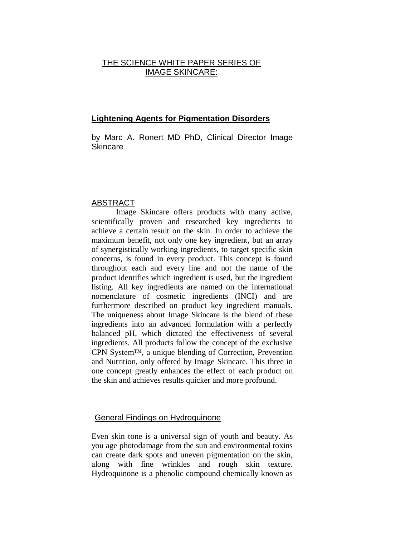# THE SCIENCE WHITE PAPER SERIES OF IMAGE SKINCARE:

## **Lightening Agents for Pigmentation Disorders**

by Marc A. Ronert MD PhD, Clinical Director Image Skincare

### ABSTRACT

Image Skincare offers products with many active, scientifically proven and researched key ingredients to achieve a certain result on the skin. In order to achieve the maximum benefit, not only one key ingredient, but an array of synergistically working ingredients, to target specific skin concerns, is found in every product. This concept is found throughout each and every line and not the name of the product identifies which ingredient is used, but the ingredient listing. All key ingredients are named on the international nomenclature of cosmetic ingredients (INCI) and are furthermore described on product key ingredient manuals. The uniqueness about Image Skincare is the blend of these ingredients into an advanced formulation with a perfectly balanced pH, which dictated the effectiveness of several ingredients. All products follow the concept of the exclusive CPN System™, a unique blending of Correction, Prevention and Nutrition, only offered by Image Skincare. This three in one concept greatly enhances the effect of each product on the skin and achieves results quicker and more profound.

#### General Findings on Hydroquinone

Even skin tone is a universal sign of youth and beauty. As you age photodamage from the sun and environmental toxins can create dark spots and uneven pigmentation on the skin, along with fine wrinkles and rough skin texture. Hydroquinone is a phenolic compound chemically known as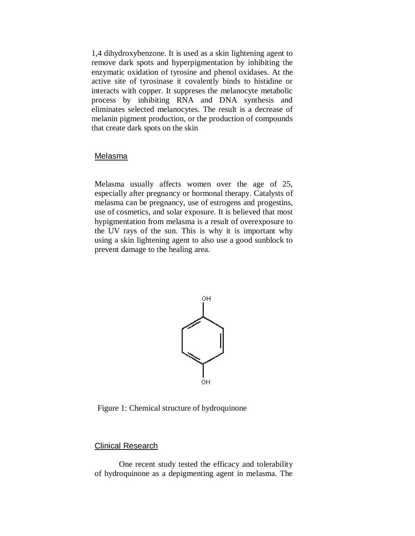1,4 dihydroxybenzone. It is used as a skin lightening agent to remove dark spots and hyperpigmentation by inhibiting the enzymatic oxidation of tyrosine and phenol oxidases. At the active site of tyrosinase it covalently binds to histidine or interacts with copper. It suppreses the melanocyte metabolic process by inhibiting RNA and DNA synthesis and eliminates selected melanocytes. The result is a decrease of melanin pigment production, or the production of compounds that create dark spots on the skin

#### Melasma

Melasma usually affects women over the age of 25, especially after pregnancy or hormonal therapy. Catalysts of melasma can be pregnancy, use of estrogens and progestins, use of cosmetics, and solar exposure. It is believed that most hypigmentation from melasma is a result of overexposure to the UV rays of the sun. This is why it is important why using a skin lightening agent to also use a good sunblock to prevent damage to the healing area.



Figure 1: Chemical structure of hydroquinone

#### Clinical Research

One recent study tested the efficacy and tolerability of hydroquinone as a depigmenting agent in melasma. The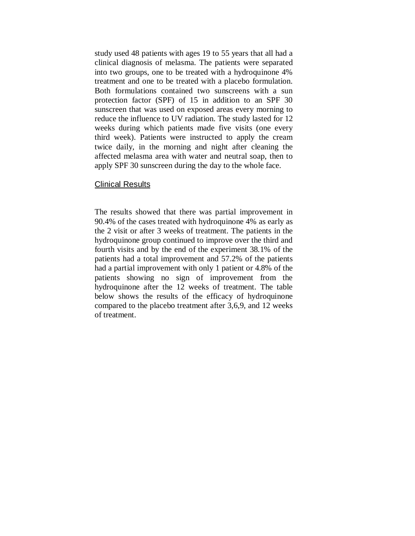study used 48 patients with ages 19 to 55 years that all had a clinical diagnosis of melasma. The patients were separated into two groups, one to be treated with a hydroquinone 4% treatment and one to be treated with a placebo formulation. Both formulations contained two sunscreens with a sun protection factor (SPF) of 15 in addition to an SPF 30 sunscreen that was used on exposed areas every morning to reduce the influence to UV radiation. The study lasted for 12 weeks during which patients made five visits (one every third week). Patients were instructed to apply the cream twice daily, in the morning and night after cleaning the affected melasma area with water and neutral soap, then to apply SPF 30 sunscreen during the day to the whole face.

### Clinical Results

The results showed that there was partial improvement in 90.4% of the cases treated with hydroquinone 4% as early as the 2 visit or after 3 weeks of treatment. The patients in the hydroquinone group continued to improve over the third and fourth visits and by the end of the experiment 38.1% of the patients had a total improvement and 57.2% of the patients had a partial improvement with only 1 patient or 4.8% of the patients showing no sign of improvement from the hydroquinone after the 12 weeks of treatment. The table below shows the results of the efficacy of hydroquinone compared to the placebo treatment after 3,6,9, and 12 weeks of treatment.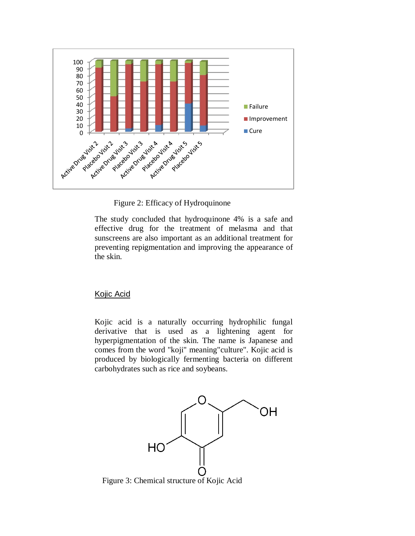

Figure 2: Efficacy of Hydroquinone

The study concluded that hydroquinone 4% is a safe and effective drug for the treatment of melasma and that sunscreens are also important as an additional treatment for preventing repigmentation and improving the appearance of the skin.

# Kojic Acid

Kojic acid is a naturally occurring hydrophilic fungal derivative that is used as a lightening agent for hyperpigmentation of the skin. The name is Japanese and comes from the word "koji" meaning"culture". Kojic acid is produced by biologically fermenting bacteria on different carbohydrates such as rice and soybeans.



Figure 3: Chemical structure of Kojic Acid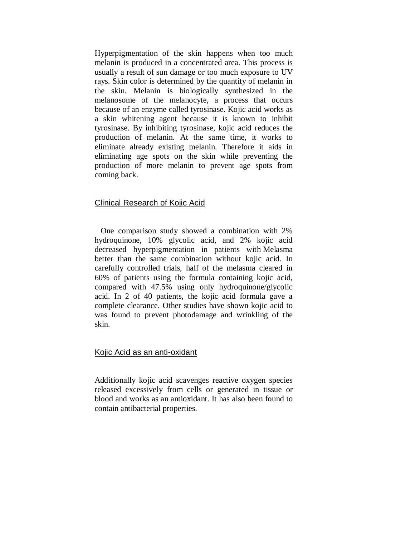Hyperpigmentation of the skin happens when too much melanin is produced in a concentrated area. This process is usually a result of sun damage or too much exposure to UV rays. Skin color is determined by the quantity of melanin in the skin. Melanin is biologically synthesized in the melanosome of the melanocyte, a process that occurs because of an enzyme called tyrosinase. Kojic acid works as a skin whitening agent because it is known to inhibit tyrosinase. By inhibiting tyrosinase, kojic acid reduces the production of melanin. At the same time, it works to eliminate already existing melanin. Therefore it aids in eliminating age spots on the skin while preventing the production of more melanin to prevent age spots from coming back.

## Clinical Research of Kojic Acid

One comparison study showed a combination with 2% hydroquinone, 10% glycolic acid, and 2% kojic acid decreased hyperpigmentation in patients with Melasma better than the same combination without kojic acid. In carefully controlled trials, half of the melasma cleared in 60% of patients using the formula containing kojic acid, compared with 47.5% using only hydroquinone/glycolic acid. In 2 of 40 patients, the kojic acid formula gave a complete clearance. Other studies have shown kojic acid to was found to prevent photodamage and wrinkling of the skin.

### Kojic Acid as an anti-oxidant

Additionally kojic acid scavenges reactive oxygen species released excessively from cells or generated in tissue or blood and works as an antioxidant. It has also been found to contain antibacterial properties.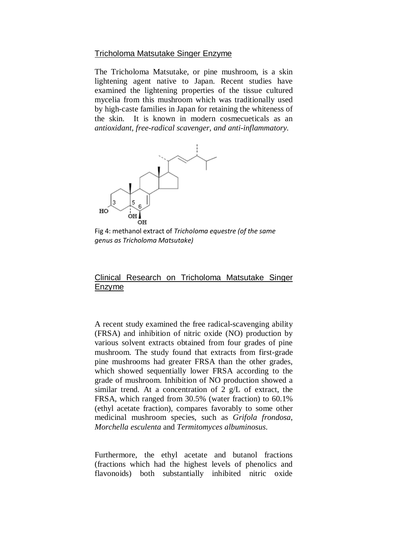## Tricholoma Matsutake Singer Enzyme

The Tricholoma Matsutake, or pine mushroom, is a skin lightening agent native to Japan. Recent studies have examined the lightening properties of the tissue cultured mycelia from this mushroom which was traditionally used by high-caste families in Japan for retaining the whiteness of the skin. It is known in modern cosmecueticals as an *antioxidant, free-radical scavenger, and anti-inflammatory.*



Fig 4: methanol extract of *Tricholoma equestre (of the same genus as Tricholoma Matsutake)*

# Clinical Research on Tricholoma Matsutake Singer Enzyme

A recent study examined the free radical-scavenging ability (FRSA) and inhibition of nitric oxide (NO) production by various solvent extracts obtained from four grades of pine mushroom. The study found that extracts from first-grade pine mushrooms had greater FRSA than the other grades, which showed sequentially lower FRSA according to the grade of mushroom. Inhibition of NO production showed a similar trend. At a concentration of 2 g/L of extract, the FRSA, which ranged from 30.5% (water fraction) to 60.1% (ethyl acetate fraction), compares favorably to some other medicinal mushroom species, such as *Grifola frondosa*, *Morchella esculenta* and *Termitomyces albuminosus*.

Furthermore, the ethyl acetate and butanol fractions (fractions which had the highest levels of phenolics and flavonoids) both substantially inhibited nitric oxide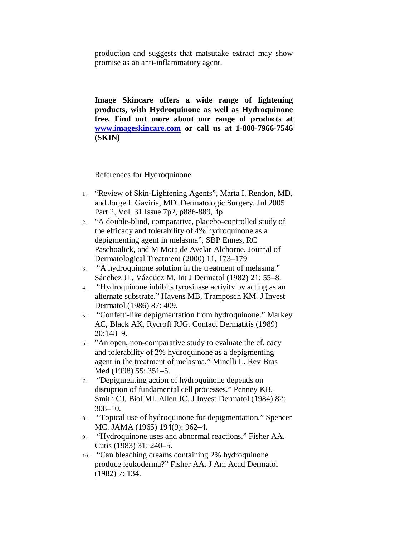production and suggests that matsutake extract may show promise as an anti-inflammatory agent.

**Image Skincare offers a wide range of lightening products, with Hydroquinone as well as Hydroquinone free. Find out more about our range of products at [www.imageskincare.com](http://www.imageskincare.com/) or call us at 1-800-7966-7546 (SKIN)**

References for Hydroquinone

- 1. "Review of Skin-Lightening Agents", Marta I. Rendon, MD, and Jorge I. Gaviria, MD. Dermatologic Surgery. Jul 2005 Part 2, Vol. 31 Issue 7p2, p886-889, 4p
- 2. "A double-blind, comparative, placebo-controlled study of the efficacy and tolerability of 4% hydroquinone as a depigmenting agent in melasma", SBP Ennes, RC Paschoalick, and M Mota de Avelar Alchorne. Journal of Dermatological Treatment (2000) 11, 173–179
- 3. "A hydroquinone solution in the treatment of melasma." Sánchez JL, Vázquez M. Int J Dermatol (1982) 21: 55–8.
- 4. "Hydroquinone inhibits tyrosinase activity by acting as an alternate substrate." Havens MB, Tramposch KM. J Invest Dermatol (1986) 87: 409.
- 5. "Confetti-like depigmentation from hydroquinone." Markey AC, Black AK, Rycroft RJG. Contact Dermatitis (1989) 20:148–9.
- 6. "An open, non-comparative study to evaluate the ef. cacy and tolerability of 2% hydroquinone as a depigmenting agent in the treatment of melasma." Minelli L. Rev Bras Med (1998) 55: 351–5.
- 7. "Depigmenting action of hydroquinone depends on disruption of fundamental cell processes." Penney KB, Smith CJ, Biol MI, Allen JC. J Invest Dermatol (1984) 82: 308–10.
- 8. "Topical use of hydroquinone for depigmentation." Spencer MC. JAMA (1965) 194(9): 962–4.
- 9. "Hydroquinone uses and abnormal reactions." Fisher AA. Cutis (1983) 31: 240–5.
- 10. "Can bleaching creams containing 2% hydroquinone produce leukoderma?" Fisher AA. J Am Acad Dermatol (1982) 7: 134.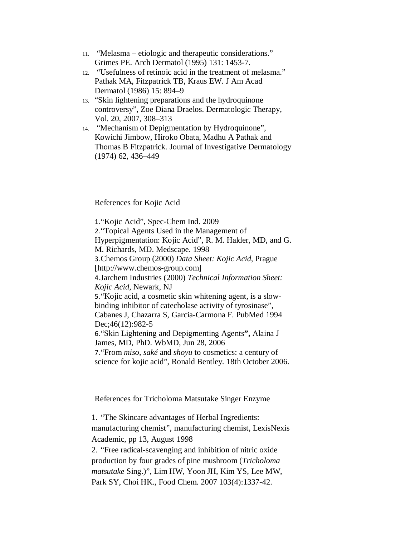- 11. "Melasma etiologic and therapeutic considerations." Grimes PE. Arch Dermatol (1995) 131: 1453-7.
- 12. "Usefulness of retinoic acid in the treatment of melasma." Pathak MA, Fitzpatrick TB, Kraus EW. J Am Acad Dermatol (1986) 15: 894–9
- 13. "Skin lightening preparations and the hydroquinone controversy", Zoe Diana Draelos. Dermatologic Therapy, Vol. 20, 2007, 308–313
- 14. "Mechanism of Depigmentation by Hydroquinone", Kowichi Jimbow, Hiroko Obata, Madhu A Pathak and Thomas B Fitzpatrick. Journal of Investigative Dermatology (1974) 62, 436–449

References for Kojic Acid

1."Kojic Acid", Spec-Chem Ind. 2009 2."Topical Agents Used in the Management of Hyperpigmentation: Kojic Acid", R. M. Halder, MD, and G. M. Richards, MD. Medscape. 1998 3.Chemos Group (2000) *Data Sheet: Kojic Acid*, Prague [http://www.chemos-group.com] 4.Jarchem Industries (2000) *Technical Information Sheet: Kojic Acid*, Newark, NJ 5."Kojic acid, a cosmetic skin whitening agent, is a slowbinding inhibitor of catecholase activity of tyrosinase", [Cabanes J,](http://www.ncbi.nlm.nih.gov/sites/entrez?Db=pubmed&Cmd=Search&Term=%22Cabanes%20J%22%5BAuthor%5D&itool=EntrezSystem2.PEntrez.Pubmed.Pubmed_ResultsPanel.Pubmed_DiscoveryPanel.Pubmed_RVAbstractPlus) [Chazarra S,](http://www.ncbi.nlm.nih.gov/sites/entrez?Db=pubmed&Cmd=Search&Term=%22Chazarra%20S%22%5BAuthor%5D&itool=EntrezSystem2.PEntrez.Pubmed.Pubmed_ResultsPanel.Pubmed_DiscoveryPanel.Pubmed_RVAbstractPlus) [Garcia-Carmona F.](http://www.ncbi.nlm.nih.gov/sites/entrez?Db=pubmed&Cmd=Search&Term=%22Garcia-Carmona%20F%22%5BAuthor%5D&itool=EntrezSystem2.PEntrez.Pubmed.Pubmed_ResultsPanel.Pubmed_DiscoveryPanel.Pubmed_RVAbstractPlus) PubMed 1994 Dec;46(12):982-5 6."Skin Lightening and Depigmenting Agents**",** Alaina J James, MD, PhD. WbMD, Jun 28, 2006 7."From *miso*, *saké* and *shoyu* to cosmetics: a century of science for kojic acid", Ronald Bentley. 18th October 2006.

References for Tricholoma Matsutake Singer Enzyme

1. "The Skincare advantages of Herbal Ingredients: manufacturing chemist", manufacturing chemist, LexisNexis Academic, pp 13, August 1998

2. "Free radical-scavenging and inhibition of nitric oxide production by four grades of pine mushroom (*Tricholoma matsutake* Sing.)", Lim HW, Yoon JH, Kim YS, Lee MW, Park SY, Choi HK., Food Chem. 2007 103(4):1337-42.